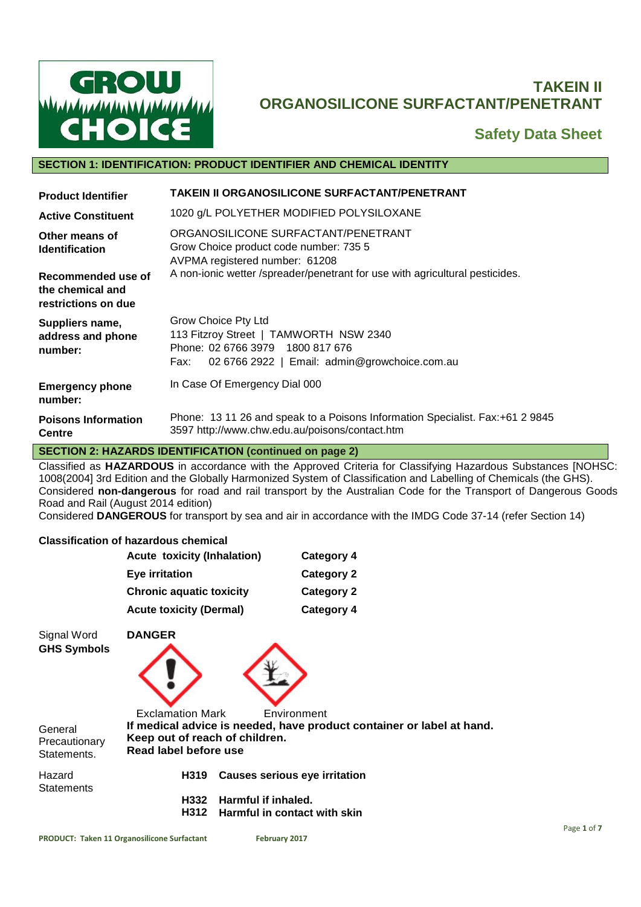

# **TAKEIN II ORGANOSILICONE SURFACTANT/PENETRANT**

# **Safety Data Sheet**

### **SECTION 1: IDENTIFICATION: PRODUCT IDENTIFIER AND CHEMICAL IDENTITY**

|                                                               | <b>TAKEIN II ORGANOSILICONE SURFACTANT/PENETRANT</b>                                                                                                       |
|---------------------------------------------------------------|------------------------------------------------------------------------------------------------------------------------------------------------------------|
| <b>Product Identifier</b>                                     |                                                                                                                                                            |
| <b>Active Constituent</b>                                     | 1020 g/L POLYETHER MODIFIED POLYSILOXANE                                                                                                                   |
| Other means of<br><b>Identification</b>                       | ORGANOSILICONE SURFACTANT/PENETRANT<br>Grow Choice product code number: 735 5<br>AVPMA registered number: 61208                                            |
| Recommended use of<br>the chemical and<br>restrictions on due | A non-ionic wetter /spreader/penetrant for use with agricultural pesticides.                                                                               |
| Suppliers name,<br>address and phone<br>number:               | Grow Choice Pty Ltd<br>113 Fitzroy Street   TAMWORTH NSW 2340<br>Phone: 02 6766 3979 1800 817 676<br>02 6766 2922   Email: admin@growchoice.com.au<br>Fax: |
| <b>Emergency phone</b><br>number:                             | In Case Of Emergency Dial 000                                                                                                                              |
| <b>Poisons Information</b><br><b>Centre</b>                   | Phone: 13 11 26 and speak to a Poisons Information Specialist. Fax:+61 2 9845<br>3597 http://www.chw.edu.au/poisons/contact.htm                            |
|                                                               | OPTATIALA                                                                                                                                                  |

### **SECTION 2: HAZARDS IDENTIFICATION (continued on page 2)**

Classified as **HAZARDOUS** in accordance with the Approved Criteria for Classifying Hazardous Substances [NOHSC: 1008(2004] 3rd Edition and the Globally Harmonized System of Classification and Labelling of Chemicals (the GHS). Considered **non-dangerous** for road and rail transport by the Australian Code for the Transport of Dangerous Goods Road and Rail (August 2014 edition)

Considered **DANGEROUS** for transport by sea and air in accordance with the IMDG Code 37-14 (refer Section 14)

### **Classification of hazardous chemical**

| <b>Acute toxicity (Inhalation)</b> | <b>Category 4</b> |
|------------------------------------|-------------------|
| <b>Eye irritation</b>              | <b>Category 2</b> |
| <b>Chronic aquatic toxicity</b>    | Category 2        |
| <b>Acute toxicity (Dermal)</b>     | <b>Category 4</b> |

| Signal Word                             | <b>DANGER</b>                                           |                                                                       |
|-----------------------------------------|---------------------------------------------------------|-----------------------------------------------------------------------|
| <b>GHS Symbols</b>                      |                                                         |                                                                       |
|                                         | <b>Exclamation Mark</b>                                 | Environment                                                           |
| General<br>Precautionary<br>Statements. | Keep out of reach of children.<br>Read label before use | If medical advice is needed, have product container or label at hand. |
| Hazard<br><b>Statements</b>             | H319                                                    | <b>Causes serious eye irritation</b>                                  |
|                                         | H332                                                    | Harmful if inhaled.                                                   |
|                                         | H312                                                    | Harmful in contact with skin                                          |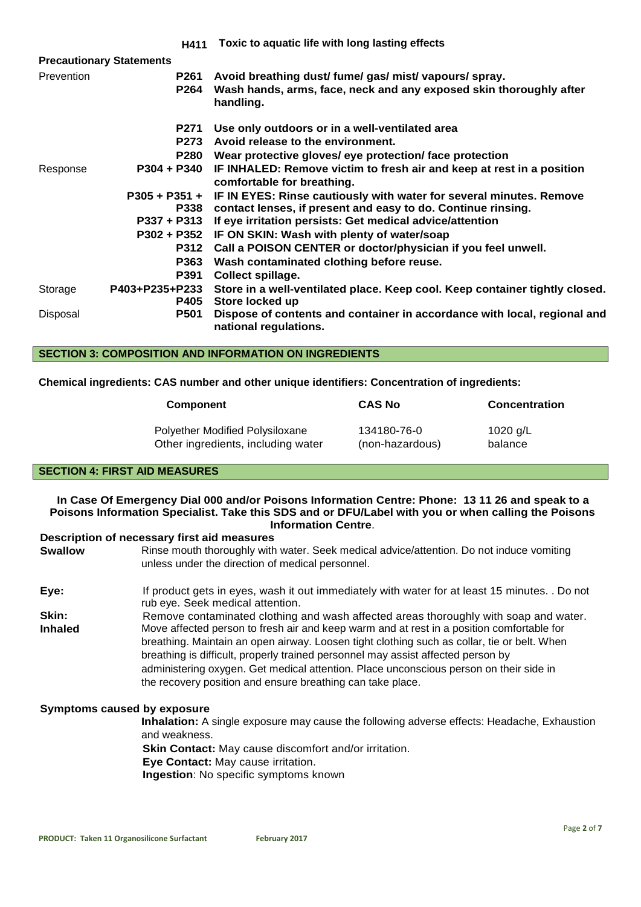|            | H411                            | Toxic to aquatic life with long lasting effects                                                                                     |
|------------|---------------------------------|-------------------------------------------------------------------------------------------------------------------------------------|
|            | <b>Precautionary Statements</b> |                                                                                                                                     |
| Prevention | P261                            | Avoid breathing dust/ fume/ gas/ mist/ vapours/ spray.                                                                              |
|            | P <sub>264</sub>                | Wash hands, arms, face, neck and any exposed skin thoroughly after<br>handling.                                                     |
|            | P271                            | Use only outdoors or in a well-ventilated area                                                                                      |
|            | P273                            | Avoid release to the environment.                                                                                                   |
|            | P280                            | Wear protective gloves/ eye protection/ face protection                                                                             |
| Response   | P304 + P340                     | IF INHALED: Remove victim to fresh air and keep at rest in a position<br>comfortable for breathing.                                 |
|            | $P305 + P351 +$<br>P338 L       | IF IN EYES: Rinse cautiously with water for several minutes. Remove<br>contact lenses, if present and easy to do. Continue rinsing. |
|            | P337 + P313                     | If eye irritation persists: Get medical advice/attention                                                                            |
|            | P302 + P352                     | IF ON SKIN: Wash with plenty of water/soap                                                                                          |
|            | <b>P312</b>                     | Call a POISON CENTER or doctor/physician if you feel unwell.                                                                        |
|            | P363                            | Wash contaminated clothing before reuse.                                                                                            |
|            | P391                            | <b>Collect spillage.</b>                                                                                                            |
| Storage    | P403+P235+P233<br>P405          | Store in a well-ventilated place. Keep cool. Keep container tightly closed.<br>Store locked up                                      |
| Disposal   | <b>P501</b>                     | Dispose of contents and container in accordance with local, regional and<br>national regulations.                                   |

### **SECTION 3: COMPOSITION AND INFORMATION ON INGREDIENTS**

**Chemical ingredients: CAS number and other unique identifiers: Concentration of ingredients:**

| Component                              | <b>CAS No</b>   | <b>Concentration</b> |
|----------------------------------------|-----------------|----------------------|
| <b>Polyether Modified Polysiloxane</b> | 134180-76-0     | 1020 g/L             |
| Other ingredients, including water     | (non-hazardous) | balance              |

#### **SECTION 4: FIRST AID MEASURES**

#### **In Case Of Emergency Dial 000 and/or Poisons Information Centre: Phone: 13 11 26 and speak to a Poisons Information Specialist. Take this SDS and or DFU/Label with you or when calling the Poisons Information Centre**.

### **Description of necessary first aid measures**

| <b>Swallow</b> | Rinse mouth thoroughly with water. Seek medical advice/attention. Do not induce vomiting |
|----------------|------------------------------------------------------------------------------------------|
|                | unless under the direction of medical personnel.                                         |

- **Eye:** If product gets in eyes, wash it out immediately with water for at least 15 minutes. . Do not rub eye. Seek medical attention.
- **Skin:** Remove contaminated clothing and wash affected areas thoroughly with soap and water.<br>**Inhaled** Move affected person to fresh air and keep warm and at rest in a position comfortable for Move affected person to fresh air and keep warm and at rest in a position comfortable for breathing. Maintain an open airway. Loosen tight clothing such as collar, tie or belt. When breathing is difficult, properly trained personnel may assist affected person by administering oxygen. Get medical attention. Place unconscious person on their side in the recovery position and ensure breathing can take place.

#### **Symptoms caused by exposure**

**Inhalation:** A single exposure may cause the following adverse effects: Headache, Exhaustion and weakness.

**Skin Contact:** May cause discomfort and/or irritation.

**Eye Contact:** May cause irritation.

**Ingestion**: No specific symptoms known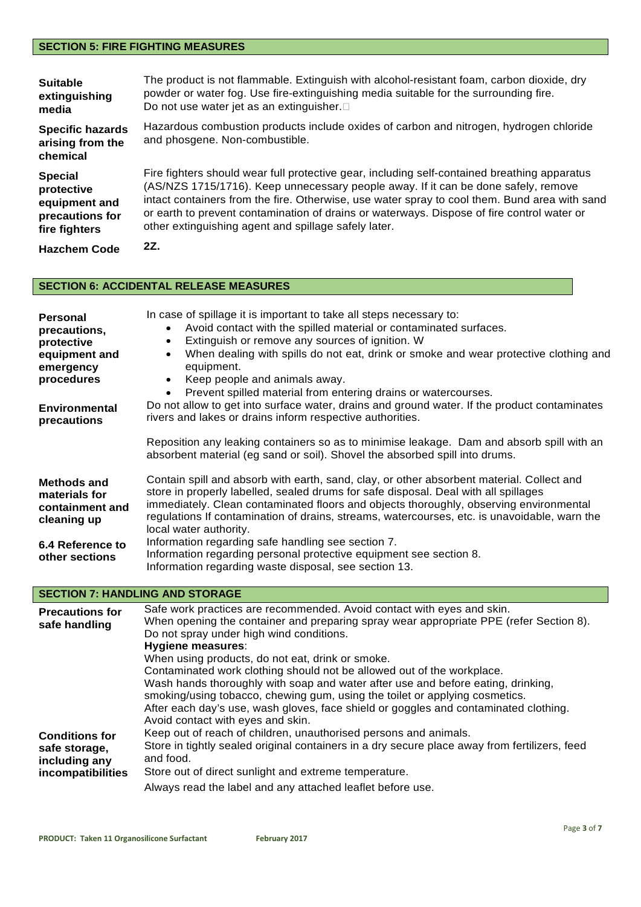## **SECTION 5: FIRE FIGHTING MEASURES**

| <b>Suitable</b>                                         | The product is not flammable. Extinguish with alcohol-resistant foam, carbon dioxide, dry                                |
|---------------------------------------------------------|--------------------------------------------------------------------------------------------------------------------------|
| extinguishing                                           | powder or water fog. Use fire-extinguishing media suitable for the surrounding fire.                                     |
| media                                                   | Do not use water jet as an extinguisher. $\square$                                                                       |
| <b>Specific hazards</b><br>arising from the<br>chemical | Hazardous combustion products include oxides of carbon and nitrogen, hydrogen chloride<br>and phosgene. Non-combustible. |
| <b>Special</b>                                          | Fire fighters should wear full protective gear, including self-contained breathing apparatus                             |
| protective                                              | (AS/NZS 1715/1716). Keep unnecessary people away. If it can be done safely, remove                                       |
| equipment and                                           | intact containers from the fire. Otherwise, use water spray to cool them. Bund area with sand                            |
| precautions for                                         | or earth to prevent contamination of drains or waterways. Dispose of fire control water or                               |
| fire fighters                                           | other extinguishing agent and spillage safely later.                                                                     |
| <b>Hazchem Code</b>                                     | 2Z.                                                                                                                      |

# **SECTION 6: ACCIDENTAL RELEASE MEASURES**

| <b>Personal</b><br>precautions,<br>protective<br>equipment and<br>emergency<br>procedures<br><b>Environmental</b><br>precautions | In case of spillage it is important to take all steps necessary to:<br>Avoid contact with the spilled material or contaminated surfaces.<br>Extinguish or remove any sources of ignition. W<br>$\bullet$<br>When dealing with spills do not eat, drink or smoke and wear protective clothing and<br>$\bullet$<br>equipment.<br>Keep people and animals away.<br>$\bullet$<br>Prevent spilled material from entering drains or watercourses.<br>Do not allow to get into surface water, drains and ground water. If the product contaminates<br>rivers and lakes or drains inform respective authorities.<br>Reposition any leaking containers so as to minimise leakage. Dam and absorb spill with an<br>absorbent material (eg sand or soil). Shovel the absorbed spill into drums. |
|----------------------------------------------------------------------------------------------------------------------------------|--------------------------------------------------------------------------------------------------------------------------------------------------------------------------------------------------------------------------------------------------------------------------------------------------------------------------------------------------------------------------------------------------------------------------------------------------------------------------------------------------------------------------------------------------------------------------------------------------------------------------------------------------------------------------------------------------------------------------------------------------------------------------------------|
| <b>Methods and</b><br>materials for<br>containment and<br>cleaning up<br>6.4 Reference to<br>other sections                      | Contain spill and absorb with earth, sand, clay, or other absorbent material. Collect and<br>store in properly labelled, sealed drums for safe disposal. Deal with all spillages<br>immediately. Clean contaminated floors and objects thoroughly, observing environmental<br>regulations If contamination of drains, streams, watercourses, etc. is unavoidable, warn the<br>local water authority.<br>Information regarding safe handling see section 7.<br>Information regarding personal protective equipment see section 8.<br>Information regarding waste disposal, see section 13.                                                                                                                                                                                            |
| <b>SECTION 7: HANDLING AND STORAGE</b>                                                                                           |                                                                                                                                                                                                                                                                                                                                                                                                                                                                                                                                                                                                                                                                                                                                                                                      |
| <b>Precautions for</b><br>safe handling                                                                                          | Safe work practices are recommended. Avoid contact with eyes and skin.<br>When opening the container and preparing spray wear appropriate PPE (refer Section 8).<br>Do not spray under high wind conditions.<br><b>Hygiene measures:</b><br>When using products, do not eat, drink or smoke.<br>Contaminated work clothing should not be allowed out of the workplace.<br>Wash hands thoroughly with soap and water after use and before eating, drinking,<br>smoking/using tobacco, chewing gum, using the toilet or applying cosmetics.<br>After each day's use, wash gloves, face shield or goggles and contaminated clothing.<br>Avoid contact with eyes and skin.                                                                                                               |
| <b>Conditions for</b><br>safe storage,<br>including any<br>incompatibilities                                                     | Keep out of reach of children, unauthorised persons and animals.<br>Store in tightly sealed original containers in a dry secure place away from fertilizers, feed<br>and food.<br>Store out of direct sunlight and extreme temperature.<br>Always read the label and any attached leaflet before use.                                                                                                                                                                                                                                                                                                                                                                                                                                                                                |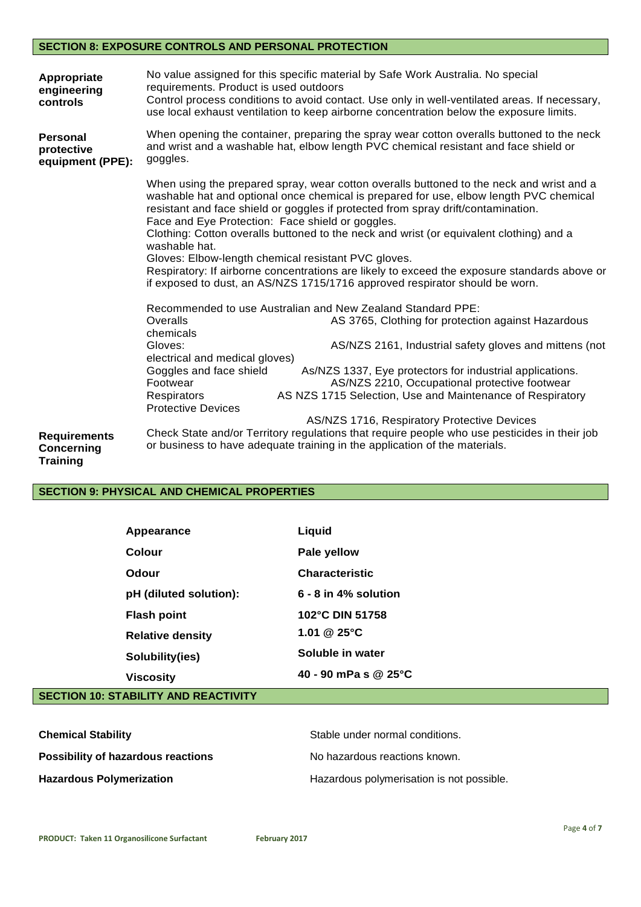## **SECTION 8: EXPOSURE CONTROLS AND PERSONAL PROTECTION**

| Appropriate<br>engineering<br>controls                      | No value assigned for this specific material by Safe Work Australia. No special<br>requirements. Product is used outdoors<br>Control process conditions to avoid contact. Use only in well-ventilated areas. If necessary,<br>use local exhaust ventilation to keep airborne concentration below the exposure limits.                                                                                                                                                                                                                                                                                                                                                                                                                                                                                                                                                          |  |
|-------------------------------------------------------------|--------------------------------------------------------------------------------------------------------------------------------------------------------------------------------------------------------------------------------------------------------------------------------------------------------------------------------------------------------------------------------------------------------------------------------------------------------------------------------------------------------------------------------------------------------------------------------------------------------------------------------------------------------------------------------------------------------------------------------------------------------------------------------------------------------------------------------------------------------------------------------|--|
| Personal<br>protective<br>equipment (PPE):                  | When opening the container, preparing the spray wear cotton overalls buttoned to the neck<br>and wrist and a washable hat, elbow length PVC chemical resistant and face shield or<br>goggles.<br>When using the prepared spray, wear cotton overalls buttoned to the neck and wrist and a<br>washable hat and optional once chemical is prepared for use, elbow length PVC chemical<br>resistant and face shield or goggles if protected from spray drift/contamination.<br>Face and Eye Protection: Face shield or goggles.<br>Clothing: Cotton overalls buttoned to the neck and wrist (or equivalent clothing) and a<br>washable hat.<br>Gloves: Elbow-length chemical resistant PVC gloves.<br>Respiratory: If airborne concentrations are likely to exceed the exposure standards above or<br>if exposed to dust, an AS/NZS 1715/1716 approved respirator should be worn. |  |
|                                                             |                                                                                                                                                                                                                                                                                                                                                                                                                                                                                                                                                                                                                                                                                                                                                                                                                                                                                |  |
|                                                             | Recommended to use Australian and New Zealand Standard PPE:<br>Overalls<br>AS 3765, Clothing for protection against Hazardous<br>chemicals<br>Gloves:<br>AS/NZS 2161, Industrial safety gloves and mittens (not<br>electrical and medical gloves)<br>Goggles and face shield<br>As/NZS 1337, Eye protectors for industrial applications.<br>Footwear<br>AS/NZS 2210, Occupational protective footwear<br>AS NZS 1715 Selection, Use and Maintenance of Respiratory<br>Respirators<br><b>Protective Devices</b><br>AS/NZS 1716, Respiratory Protective Devices                                                                                                                                                                                                                                                                                                                  |  |
| <b>Requirements</b><br><b>Concerning</b><br><b>Training</b> | Check State and/or Territory regulations that require people who use pesticides in their job<br>or business to have adequate training in the application of the materials.                                                                                                                                                                                                                                                                                                                                                                                                                                                                                                                                                                                                                                                                                                     |  |

# **SECTION 9: PHYSICAL AND CHEMICAL PROPERTIES**

| Appearance                                  | Liquid                 |
|---------------------------------------------|------------------------|
| Colour                                      | Pale yellow            |
| <b>Odour</b>                                | <b>Characteristic</b>  |
| pH (diluted solution):                      | $6 - 8$ in 4% solution |
| <b>Flash point</b>                          | 102°C DIN 51758        |
| <b>Relative density</b>                     | 1.01 @ 25°C            |
| Solubility(ies)                             | Soluble in water       |
| <b>Viscosity</b>                            | 40 - 90 mPa s @ 25°C   |
| <b>SECTION 10: STABILITY AND REACTIVITY</b> |                        |

| <b>Chemical Stability</b>          | Stable under normal conditions.           |
|------------------------------------|-------------------------------------------|
| Possibility of hazardous reactions | No hazardous reactions known.             |
| <b>Hazardous Polymerization</b>    | Hazardous polymerisation is not possible. |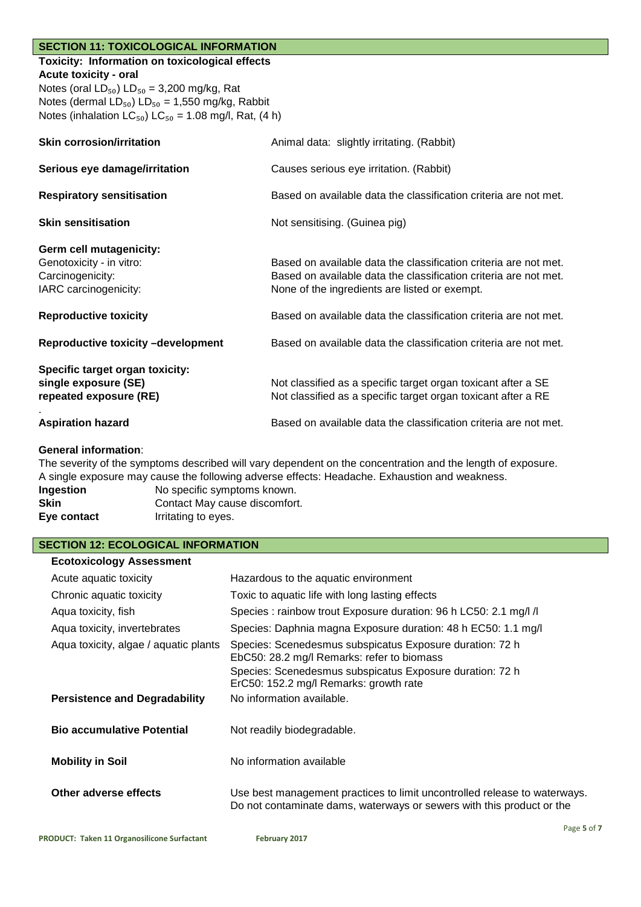### **SECTION 11: TOXICOLOGICAL INFORMATION**

**Toxicity: Information on toxicological effects Acute toxicity - oral** Notes (oral  $LD_{50}$ )  $LD_{50} = 3,200$  mg/kg, Rat Notes (dermal  $LD_{50}$ ) LD $_{50}$  = 1,550 mg/kg, Rabbit Notes (inhalation  $LC_{50}$ )  $LC_{50}$  = 1.08 mg/l, Rat, (4 h)

| <b>Skin corrosion/irritation</b>                                                                 | Animal data: slightly irritating. (Rabbit)                                                                                                                                            |
|--------------------------------------------------------------------------------------------------|---------------------------------------------------------------------------------------------------------------------------------------------------------------------------------------|
| Serious eye damage/irritation                                                                    | Causes serious eye irritation. (Rabbit)                                                                                                                                               |
| <b>Respiratory sensitisation</b>                                                                 | Based on available data the classification criteria are not met.                                                                                                                      |
| <b>Skin sensitisation</b>                                                                        | Not sensitising. (Guinea pig)                                                                                                                                                         |
| Germ cell mutagenicity:<br>Genotoxicity - in vitro:<br>Carcinogenicity:<br>IARC carcinogenicity: | Based on available data the classification criteria are not met.<br>Based on available data the classification criteria are not met.<br>None of the ingredients are listed or exempt. |
| <b>Reproductive toxicity</b>                                                                     | Based on available data the classification criteria are not met.                                                                                                                      |
| <b>Reproductive toxicity -development</b>                                                        | Based on available data the classification criteria are not met.                                                                                                                      |
| Specific target organ toxicity:<br>single exposure (SE)<br>repeated exposure (RE)                | Not classified as a specific target organ toxicant after a SE<br>Not classified as a specific target organ toxicant after a RE                                                        |
| <b>Aspiration hazard</b>                                                                         | Based on available data the classification criteria are not met.                                                                                                                      |

### **General information**:

The severity of the symptoms described will vary dependent on the concentration and the length of exposure. A single exposure may cause the following adverse effects: Headache. Exhaustion and weakness. **Ingestion** No specific symptoms known. **Skin Contact May cause discomfort. Eye contact Irritating to eyes.** 

# **SECTION 12: ECOLOGICAL INFORMATION**

| <b>Ecotoxicology Assessment</b>       |                                                                                                                                                                                                              |
|---------------------------------------|--------------------------------------------------------------------------------------------------------------------------------------------------------------------------------------------------------------|
| Acute aquatic toxicity                | Hazardous to the aquatic environment                                                                                                                                                                         |
| Chronic aquatic toxicity              | Toxic to aquatic life with long lasting effects                                                                                                                                                              |
| Aqua toxicity, fish                   | Species: rainbow trout Exposure duration: 96 h LC50: 2.1 mg/l /l                                                                                                                                             |
| Aqua toxicity, invertebrates          | Species: Daphnia magna Exposure duration: 48 h EC50: 1.1 mg/l                                                                                                                                                |
| Aqua toxicity, algae / aquatic plants | Species: Scenedesmus subspicatus Exposure duration: 72 h<br>EbC50: 28.2 mg/l Remarks: refer to biomass<br>Species: Scenedesmus subspicatus Exposure duration: 72 h<br>ErC50: 152.2 mg/l Remarks: growth rate |
| <b>Persistence and Degradability</b>  | No information available.                                                                                                                                                                                    |
| <b>Bio accumulative Potential</b>     | Not readily biodegradable.                                                                                                                                                                                   |
| <b>Mobility in Soil</b>               | No information available                                                                                                                                                                                     |
| Other adverse effects                 | Use best management practices to limit uncontrolled release to waterways.<br>Do not contaminate dams, waterways or sewers with this product or the<br>Page 5 of                                              |
|                                       |                                                                                                                                                                                                              |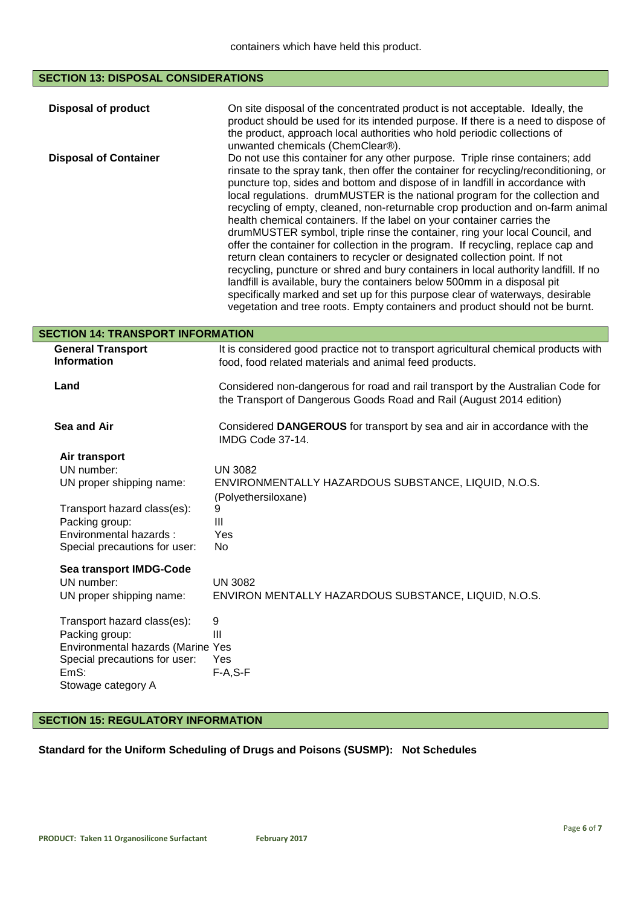### **SECTION 13: DISPOSAL CONSIDERATIONS**

| <b>Disposal of product</b>                     | On site disposal of the concentrated product is not acceptable. Ideally, the<br>product should be used for its intended purpose. If there is a need to dispose of<br>the product, approach local authorities who hold periodic collections of<br>unwanted chemicals (ChemClear®).                                                                                                                                                                                                                                                                                                                                                                                                                                                                                                                                                                                                                                                                                                                                                                                                      |  |  |  |
|------------------------------------------------|----------------------------------------------------------------------------------------------------------------------------------------------------------------------------------------------------------------------------------------------------------------------------------------------------------------------------------------------------------------------------------------------------------------------------------------------------------------------------------------------------------------------------------------------------------------------------------------------------------------------------------------------------------------------------------------------------------------------------------------------------------------------------------------------------------------------------------------------------------------------------------------------------------------------------------------------------------------------------------------------------------------------------------------------------------------------------------------|--|--|--|
| <b>Disposal of Container</b>                   | Do not use this container for any other purpose. Triple rinse containers; add<br>rinsate to the spray tank, then offer the container for recycling/reconditioning, or<br>puncture top, sides and bottom and dispose of in landfill in accordance with<br>local regulations. drumMUSTER is the national program for the collection and<br>recycling of empty, cleaned, non-returnable crop production and on-farm animal<br>health chemical containers. If the label on your container carries the<br>drumMUSTER symbol, triple rinse the container, ring your local Council, and<br>offer the container for collection in the program. If recycling, replace cap and<br>return clean containers to recycler or designated collection point. If not<br>recycling, puncture or shred and bury containers in local authority landfill. If no<br>landfill is available, bury the containers below 500mm in a disposal pit<br>specifically marked and set up for this purpose clear of waterways, desirable<br>vegetation and tree roots. Empty containers and product should not be burnt. |  |  |  |
| <b>SECTION 14: TRANSPORT INFORMATION</b>       |                                                                                                                                                                                                                                                                                                                                                                                                                                                                                                                                                                                                                                                                                                                                                                                                                                                                                                                                                                                                                                                                                        |  |  |  |
| <b>General Transport</b><br><b>Information</b> | It is considered good practice not to transport agricultural chemical products with<br>food, food related materials and animal feed products.                                                                                                                                                                                                                                                                                                                                                                                                                                                                                                                                                                                                                                                                                                                                                                                                                                                                                                                                          |  |  |  |
| Land                                           | Considered non-dangerous for road and rail transport by the Australian Code for                                                                                                                                                                                                                                                                                                                                                                                                                                                                                                                                                                                                                                                                                                                                                                                                                                                                                                                                                                                                        |  |  |  |

|             | the Transport of Dangerous Goods Road and Rail (August 2014 edition)                         |
|-------------|----------------------------------------------------------------------------------------------|
| Sea and Air | Considered DANGEROUS for transport by sea and air in accordance with the<br>IMDG Code 37-14. |

| Air transport                                                     | UN 3082                                                         |
|-------------------------------------------------------------------|-----------------------------------------------------------------|
| UN number:                                                        | ENVIRONMENTALLY HAZARDOUS SUBSTANCE, LIQUID, N.O.S.             |
| UN proper shipping name:                                          | (Polyethersiloxane)                                             |
| Transport hazard class(es):                                       | 9                                                               |
| Packing group:                                                    | Ш                                                               |
| Environmental hazards:                                            | Yes                                                             |
| Special precautions for user:                                     | No                                                              |
| Sea transport IMDG-Code<br>UN number:<br>UN proper shipping name: | UN 3082<br>ENVIRON MENTALLY HAZARDOUS SUBSTANCE, LIQUID, N.O.S. |

Transport hazard class(es): 9<br>Packing group: [1] Packing group: Environmental hazards (Marine Yes Special precautions for user: EmS: F-A,S-F Stowage category A

# **SECTION 15: REGULATORY INFORMATION**

### **Standard for the Uniform Scheduling of Drugs and Poisons (SUSMP): Not Schedules**